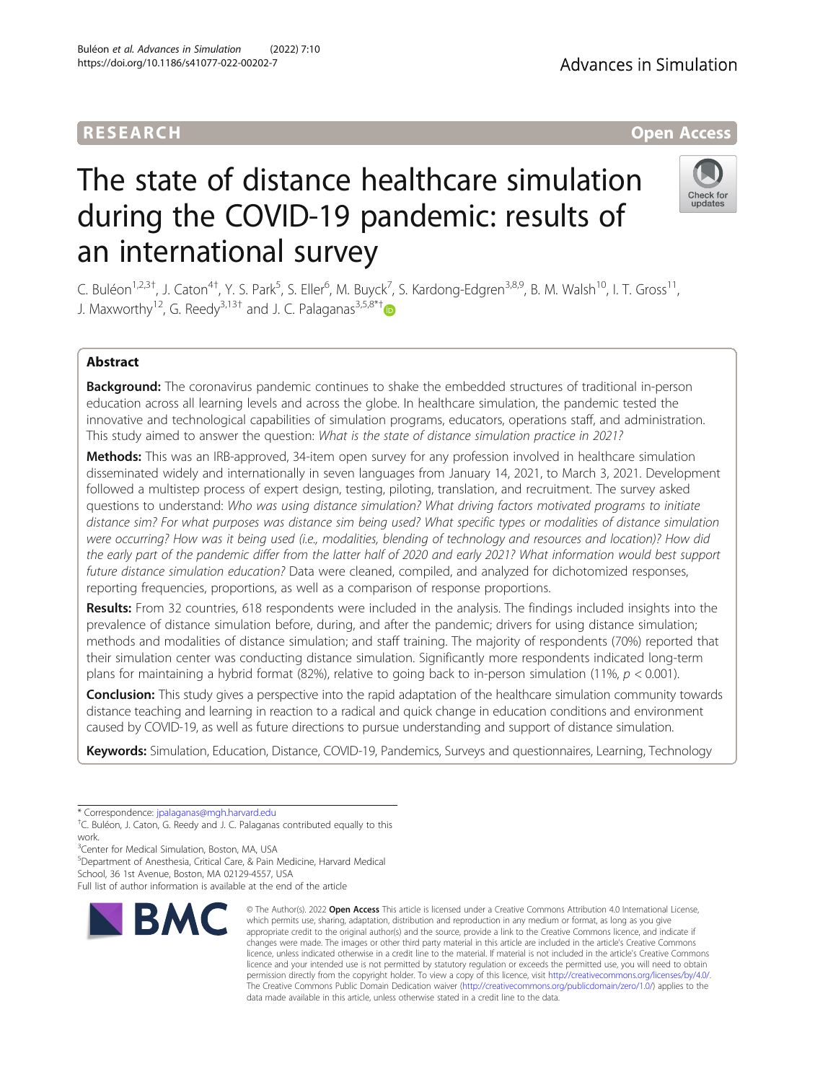# The state of distance healthcare simulation during the COVID-19 pandemic: results of an international survey

C. Buléon<sup>1,2,3†</sup>, J. Caton<sup>4†</sup>, Y. S. Park<sup>5</sup>, S. Eller<sup>6</sup>, M. Buyck<sup>7</sup>, S. Kardong-Edgren<sup>3,8,9</sup>, B. M. Walsh<sup>10</sup>, I. T. Gross<sup>11</sup>, J. Maxworthy<sup>12</sup>, G. Reedy<sup>3,13[†](http://orcid.org/0000-0002-2507-8643)</sup> and J. C. Palaganas<sup>3,5,8\*†</sup>

# Abstract

Background: The coronavirus pandemic continues to shake the embedded structures of traditional in-person education across all learning levels and across the globe. In healthcare simulation, the pandemic tested the innovative and technological capabilities of simulation programs, educators, operations staff, and administration. This study aimed to answer the question: What is the state of distance simulation practice in 2021?

Methods: This was an IRB-approved, 34-item open survey for any profession involved in healthcare simulation disseminated widely and internationally in seven languages from January 14, 2021, to March 3, 2021. Development followed a multistep process of expert design, testing, piloting, translation, and recruitment. The survey asked questions to understand: Who was using distance simulation? What driving factors motivated programs to initiate distance sim? For what purposes was distance sim being used? What specific types or modalities of distance simulation were occurring? How was it being used (i.e., modalities, blending of technology and resources and location)? How did the early part of the pandemic differ from the latter half of 2020 and early 2021? What information would best support future distance simulation education? Data were cleaned, compiled, and analyzed for dichotomized responses, reporting frequencies, proportions, as well as a comparison of response proportions.

Results: From 32 countries, 618 respondents were included in the analysis. The findings included insights into the prevalence of distance simulation before, during, and after the pandemic; drivers for using distance simulation; methods and modalities of distance simulation; and staff training. The majority of respondents (70%) reported that their simulation center was conducting distance simulation. Significantly more respondents indicated long-term plans for maintaining a hybrid format (82%), relative to going back to in-person simulation (11%,  $p < 0.001$ ).

Conclusion: This study gives a perspective into the rapid adaptation of the healthcare simulation community towards distance teaching and learning in reaction to a radical and quick change in education conditions and environment caused by COVID-19, as well as future directions to pursue understanding and support of distance simulation.

Keywords: Simulation, Education, Distance, COVID-19, Pandemics, Surveys and questionnaires, Learning, Technology

<sup>3</sup> Center for Medical Simulation, Boston, MA, USA

5 Department of Anesthesia, Critical Care, & Pain Medicine, Harvard Medical

School, 36 1st Avenue, Boston, MA 02129-4557, USA Full list of author information is available at the end of the article Advances in Simulation





<sup>\*</sup> Correspondence: [jpalaganas@mgh.harvard.edu](mailto:jpalaganas@mgh.harvard.edu) †

<sup>&</sup>lt;sup>+</sup>C. Buléon, J. Caton, G. Reedy and J. C. Palaganas contributed equally to this work.

<sup>©</sup> The Author(s), 2022 **Open Access** This article is licensed under a Creative Commons Attribution 4.0 International License, which permits use, sharing, adaptation, distribution and reproduction in any medium or format, as long as you give appropriate credit to the original author(s) and the source, provide a link to the Creative Commons licence, and indicate if changes were made. The images or other third party material in this article are included in the article's Creative Commons licence, unless indicated otherwise in a credit line to the material. If material is not included in the article's Creative Commons licence and your intended use is not permitted by statutory regulation or exceeds the permitted use, you will need to obtain permission directly from the copyright holder. To view a copy of this licence, visit [http://creativecommons.org/licenses/by/4.0/.](http://creativecommons.org/licenses/by/4.0/) The Creative Commons Public Domain Dedication waiver [\(http://creativecommons.org/publicdomain/zero/1.0/](http://creativecommons.org/publicdomain/zero/1.0/)) applies to the data made available in this article, unless otherwise stated in a credit line to the data.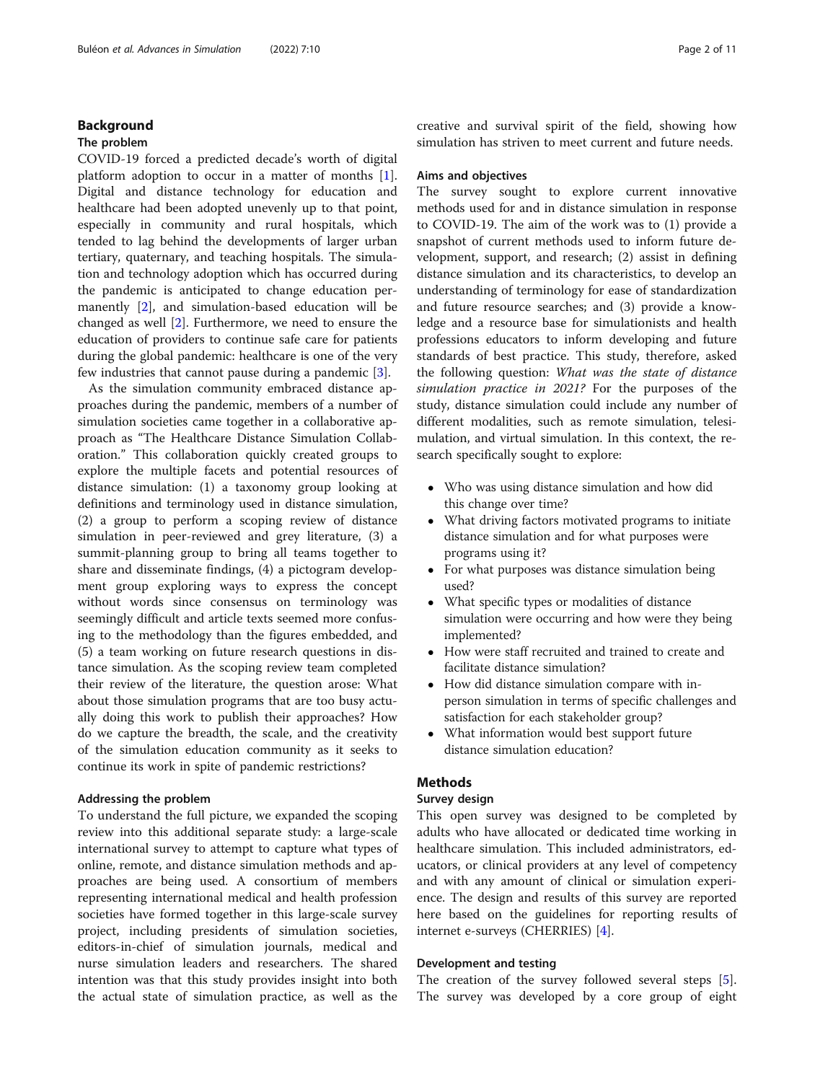# Background

## The problem

COVID-19 forced a predicted decade's worth of digital platform adoption to occur in a matter of months  $[1]$  $[1]$ . Digital and distance technology for education and healthcare had been adopted unevenly up to that point, especially in community and rural hospitals, which tended to lag behind the developments of larger urban tertiary, quaternary, and teaching hospitals. The simulation and technology adoption which has occurred during the pandemic is anticipated to change education permanently [\[2](#page-10-0)], and simulation-based education will be changed as well [[2\]](#page-10-0). Furthermore, we need to ensure the education of providers to continue safe care for patients during the global pandemic: healthcare is one of the very few industries that cannot pause during a pandemic [[3](#page-10-0)].

As the simulation community embraced distance approaches during the pandemic, members of a number of simulation societies came together in a collaborative approach as "The Healthcare Distance Simulation Collaboration." This collaboration quickly created groups to explore the multiple facets and potential resources of distance simulation: (1) a taxonomy group looking at definitions and terminology used in distance simulation, (2) a group to perform a scoping review of distance simulation in peer-reviewed and grey literature, (3) a summit-planning group to bring all teams together to share and disseminate findings, (4) a pictogram development group exploring ways to express the concept without words since consensus on terminology was seemingly difficult and article texts seemed more confusing to the methodology than the figures embedded, and (5) a team working on future research questions in distance simulation. As the scoping review team completed their review of the literature, the question arose: What about those simulation programs that are too busy actually doing this work to publish their approaches? How do we capture the breadth, the scale, and the creativity of the simulation education community as it seeks to continue its work in spite of pandemic restrictions?

# Addressing the problem

To understand the full picture, we expanded the scoping review into this additional separate study: a large-scale international survey to attempt to capture what types of online, remote, and distance simulation methods and approaches are being used. A consortium of members representing international medical and health profession societies have formed together in this large-scale survey project, including presidents of simulation societies, editors-in-chief of simulation journals, medical and nurse simulation leaders and researchers. The shared intention was that this study provides insight into both the actual state of simulation practice, as well as the

creative and survival spirit of the field, showing how simulation has striven to meet current and future needs.

#### Aims and objectives

The survey sought to explore current innovative methods used for and in distance simulation in response to COVID-19. The aim of the work was to (1) provide a snapshot of current methods used to inform future development, support, and research; (2) assist in defining distance simulation and its characteristics, to develop an understanding of terminology for ease of standardization and future resource searches; and (3) provide a knowledge and a resource base for simulationists and health professions educators to inform developing and future standards of best practice. This study, therefore, asked the following question: What was the state of distance simulation practice in 2021? For the purposes of the study, distance simulation could include any number of different modalities, such as remote simulation, telesimulation, and virtual simulation. In this context, the research specifically sought to explore:

- Who was using distance simulation and how did this change over time?
- What driving factors motivated programs to initiate distance simulation and for what purposes were programs using it?
- For what purposes was distance simulation being used?
- What specific types or modalities of distance simulation were occurring and how were they being implemented?
- How were staff recruited and trained to create and facilitate distance simulation?
- How did distance simulation compare with inperson simulation in terms of specific challenges and satisfaction for each stakeholder group?
- What information would best support future distance simulation education?

# **Methods**

# Survey design

This open survey was designed to be completed by adults who have allocated or dedicated time working in healthcare simulation. This included administrators, educators, or clinical providers at any level of competency and with any amount of clinical or simulation experience. The design and results of this survey are reported here based on the guidelines for reporting results of internet e-surveys (CHERRIES) [[4\]](#page-10-0).

### Development and testing

The creation of the survey followed several steps [\[5](#page-10-0)]. The survey was developed by a core group of eight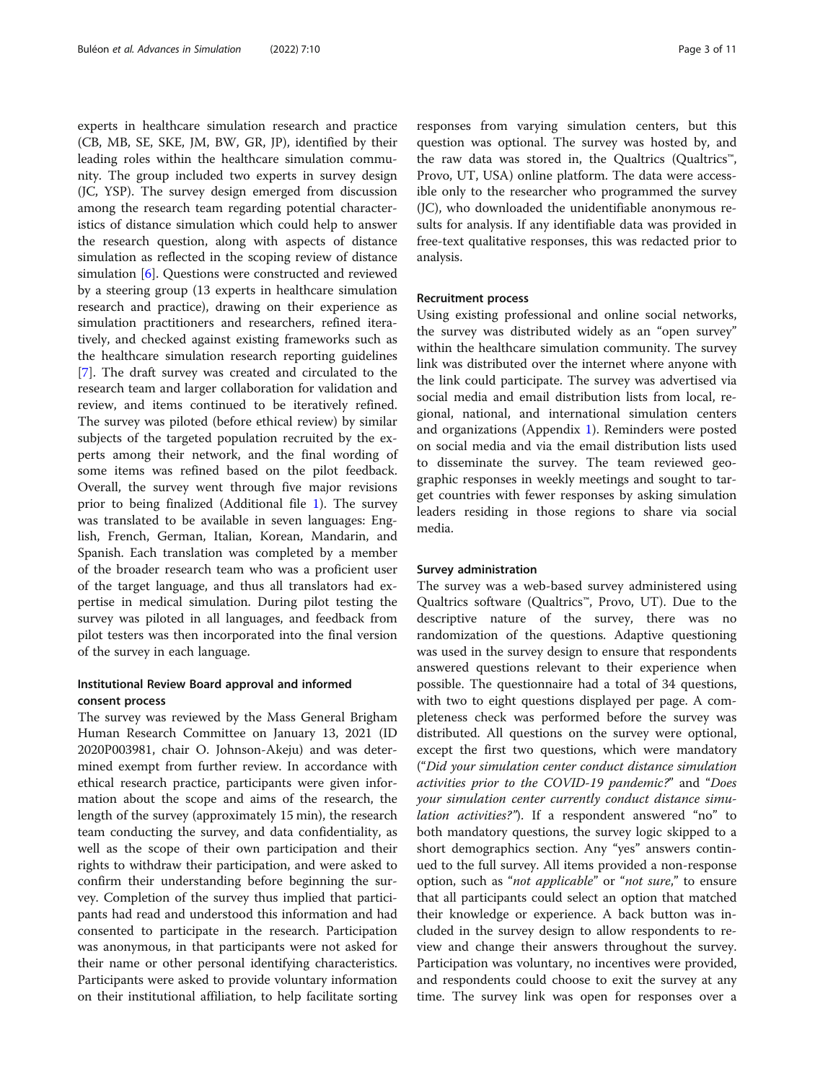experts in healthcare simulation research and practice (CB, MB, SE, SKE, JM, BW, GR, JP), identified by their leading roles within the healthcare simulation community. The group included two experts in survey design (JC, YSP). The survey design emerged from discussion among the research team regarding potential characteristics of distance simulation which could help to answer the research question, along with aspects of distance simulation as reflected in the scoping review of distance simulation [[6\]](#page-10-0). Questions were constructed and reviewed by a steering group (13 experts in healthcare simulation research and practice), drawing on their experience as simulation practitioners and researchers, refined iteratively, and checked against existing frameworks such as the healthcare simulation research reporting guidelines [[7\]](#page-10-0). The draft survey was created and circulated to the research team and larger collaboration for validation and review, and items continued to be iteratively refined. The survey was piloted (before ethical review) by similar subjects of the targeted population recruited by the experts among their network, and the final wording of some items was refined based on the pilot feedback. Overall, the survey went through five major revisions prior to being finalized (Additional file [1](#page-10-0)). The survey was translated to be available in seven languages: English, French, German, Italian, Korean, Mandarin, and Spanish. Each translation was completed by a member of the broader research team who was a proficient user of the target language, and thus all translators had expertise in medical simulation. During pilot testing the survey was piloted in all languages, and feedback from pilot testers was then incorporated into the final version of the survey in each language.

# Institutional Review Board approval and informed consent process

The survey was reviewed by the Mass General Brigham Human Research Committee on January 13, 2021 (ID 2020P003981, chair O. Johnson-Akeju) and was determined exempt from further review. In accordance with ethical research practice, participants were given information about the scope and aims of the research, the length of the survey (approximately 15 min), the research team conducting the survey, and data confidentiality, as well as the scope of their own participation and their rights to withdraw their participation, and were asked to confirm their understanding before beginning the survey. Completion of the survey thus implied that participants had read and understood this information and had consented to participate in the research. Participation was anonymous, in that participants were not asked for their name or other personal identifying characteristics. Participants were asked to provide voluntary information on their institutional affiliation, to help facilitate sorting

responses from varying simulation centers, but this question was optional. The survey was hosted by, and the raw data was stored in, the Qualtrics (Qualtrics™, Provo, UT, USA) online platform. The data were accessible only to the researcher who programmed the survey (JC), who downloaded the unidentifiable anonymous results for analysis. If any identifiable data was provided in free-text qualitative responses, this was redacted prior to analysis.

#### Recruitment process

Using existing professional and online social networks, the survey was distributed widely as an "open survey" within the healthcare simulation community. The survey link was distributed over the internet where anyone with the link could participate. The survey was advertised via social media and email distribution lists from local, regional, national, and international simulation centers and organizations (Appendix [1\)](#page-10-0). Reminders were posted on social media and via the email distribution lists used to disseminate the survey. The team reviewed geographic responses in weekly meetings and sought to target countries with fewer responses by asking simulation leaders residing in those regions to share via social media.

#### Survey administration

The survey was a web-based survey administered using Qualtrics software (Qualtrics™, Provo, UT). Due to the descriptive nature of the survey, there was no randomization of the questions. Adaptive questioning was used in the survey design to ensure that respondents answered questions relevant to their experience when possible. The questionnaire had a total of 34 questions, with two to eight questions displayed per page. A completeness check was performed before the survey was distributed. All questions on the survey were optional, except the first two questions, which were mandatory ("Did your simulation center conduct distance simulation activities prior to the COVID-19 pandemic?" and "Does your simulation center currently conduct distance simulation activities?"). If a respondent answered "no" to both mandatory questions, the survey logic skipped to a short demographics section. Any "yes" answers continued to the full survey. All items provided a non-response option, such as "not applicable" or "not sure," to ensure that all participants could select an option that matched their knowledge or experience. A back button was included in the survey design to allow respondents to review and change their answers throughout the survey. Participation was voluntary, no incentives were provided, and respondents could choose to exit the survey at any time. The survey link was open for responses over a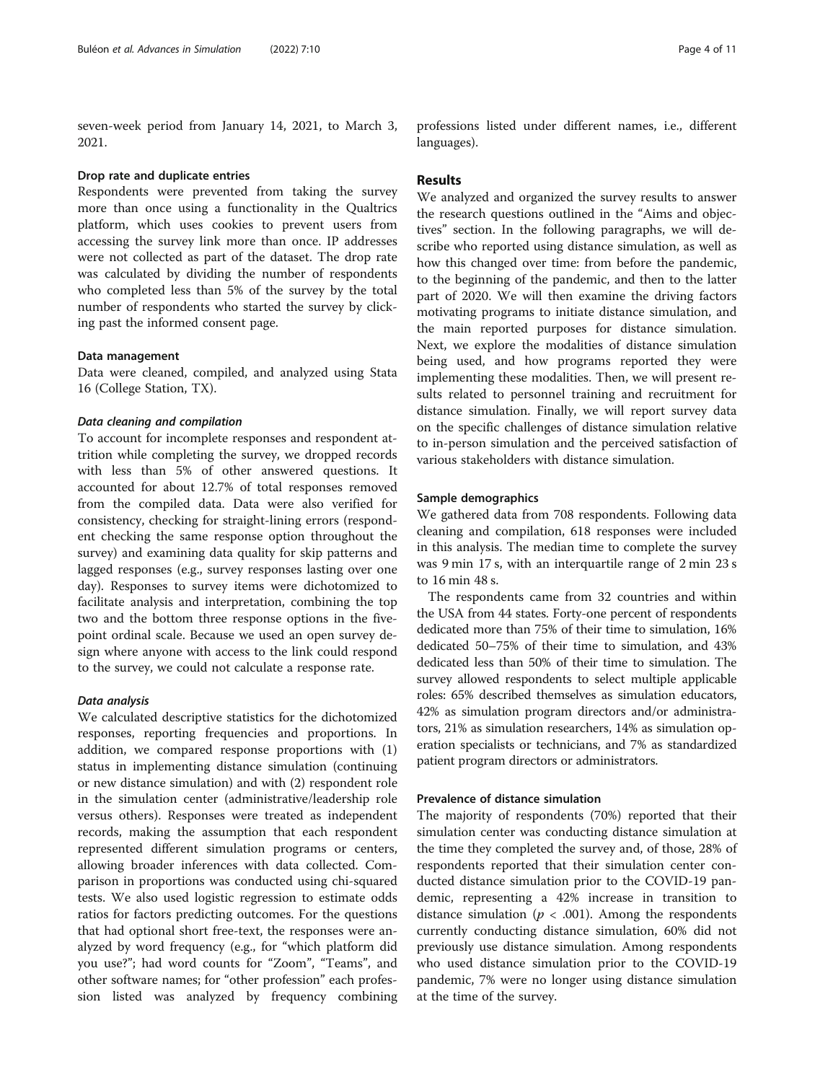seven-week period from January 14, 2021, to March 3, 2021.

#### Drop rate and duplicate entries

Respondents were prevented from taking the survey more than once using a functionality in the Qualtrics platform, which uses cookies to prevent users from accessing the survey link more than once. IP addresses were not collected as part of the dataset. The drop rate was calculated by dividing the number of respondents who completed less than 5% of the survey by the total number of respondents who started the survey by clicking past the informed consent page.

## Data management

Data were cleaned, compiled, and analyzed using Stata 16 (College Station, TX).

#### Data cleaning and compilation

To account for incomplete responses and respondent attrition while completing the survey, we dropped records with less than 5% of other answered questions. It accounted for about 12.7% of total responses removed from the compiled data. Data were also verified for consistency, checking for straight-lining errors (respondent checking the same response option throughout the survey) and examining data quality for skip patterns and lagged responses (e.g., survey responses lasting over one day). Responses to survey items were dichotomized to facilitate analysis and interpretation, combining the top two and the bottom three response options in the fivepoint ordinal scale. Because we used an open survey design where anyone with access to the link could respond to the survey, we could not calculate a response rate.

# Data analysis

We calculated descriptive statistics for the dichotomized responses, reporting frequencies and proportions. In addition, we compared response proportions with (1) status in implementing distance simulation (continuing or new distance simulation) and with (2) respondent role in the simulation center (administrative/leadership role versus others). Responses were treated as independent records, making the assumption that each respondent represented different simulation programs or centers, allowing broader inferences with data collected. Comparison in proportions was conducted using chi-squared tests. We also used logistic regression to estimate odds ratios for factors predicting outcomes. For the questions that had optional short free-text, the responses were analyzed by word frequency (e.g., for "which platform did you use?"; had word counts for "Zoom", "Teams", and other software names; for "other profession" each profession listed was analyzed by frequency combining

professions listed under different names, i.e., different languages).

# Results

We analyzed and organized the survey results to answer the research questions outlined in the "Aims and objectives" section. In the following paragraphs, we will describe who reported using distance simulation, as well as how this changed over time: from before the pandemic, to the beginning of the pandemic, and then to the latter part of 2020. We will then examine the driving factors motivating programs to initiate distance simulation, and the main reported purposes for distance simulation. Next, we explore the modalities of distance simulation being used, and how programs reported they were implementing these modalities. Then, we will present results related to personnel training and recruitment for distance simulation. Finally, we will report survey data on the specific challenges of distance simulation relative to in-person simulation and the perceived satisfaction of various stakeholders with distance simulation.

# Sample demographics

We gathered data from 708 respondents. Following data cleaning and compilation, 618 responses were included in this analysis. The median time to complete the survey was 9 min 17 s, with an interquartile range of 2 min 23 s to 16 min 48 s.

The respondents came from 32 countries and within the USA from 44 states. Forty-one percent of respondents dedicated more than 75% of their time to simulation, 16% dedicated 50–75% of their time to simulation, and 43% dedicated less than 50% of their time to simulation. The survey allowed respondents to select multiple applicable roles: 65% described themselves as simulation educators, 42% as simulation program directors and/or administrators, 21% as simulation researchers, 14% as simulation operation specialists or technicians, and 7% as standardized patient program directors or administrators.

#### Prevalence of distance simulation

The majority of respondents (70%) reported that their simulation center was conducting distance simulation at the time they completed the survey and, of those, 28% of respondents reported that their simulation center conducted distance simulation prior to the COVID-19 pandemic, representing a 42% increase in transition to distance simulation ( $p < .001$ ). Among the respondents currently conducting distance simulation, 60% did not previously use distance simulation. Among respondents who used distance simulation prior to the COVID-19 pandemic, 7% were no longer using distance simulation at the time of the survey.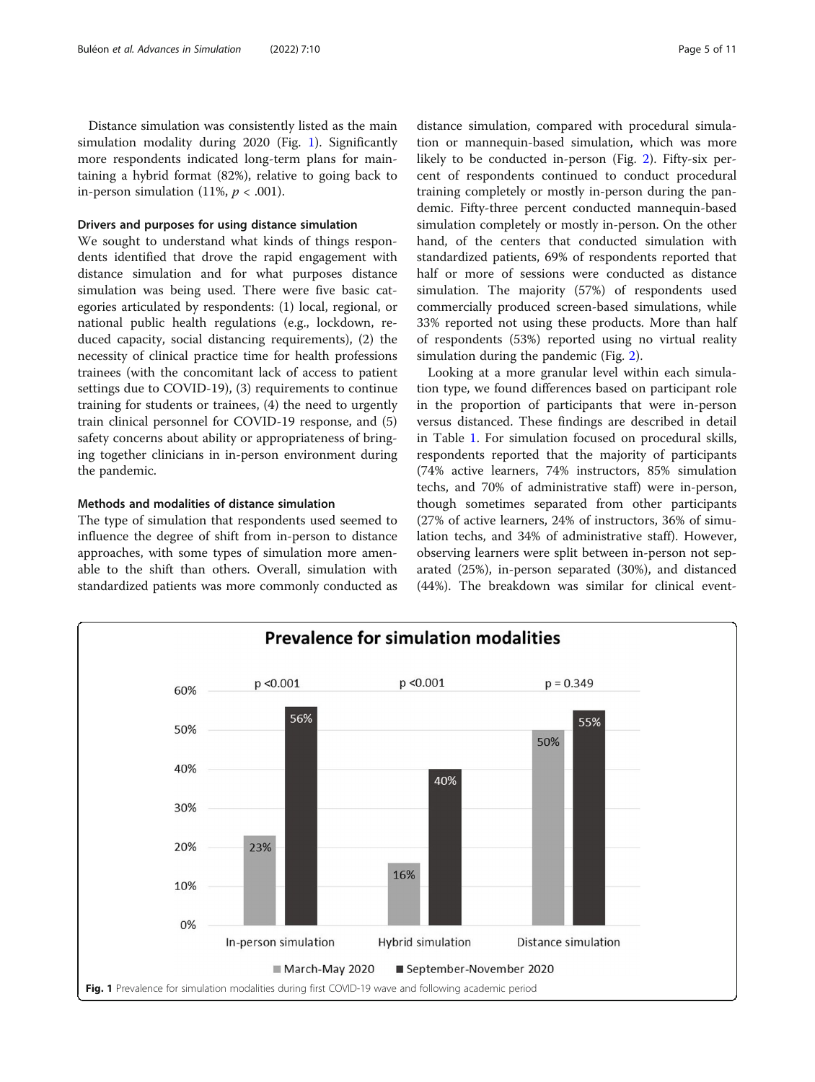Distance simulation was consistently listed as the main simulation modality during 2020 (Fig. 1). Significantly more respondents indicated long-term plans for maintaining a hybrid format (82%), relative to going back to in-person simulation (11%,  $p < .001$ ).

#### Drivers and purposes for using distance simulation

We sought to understand what kinds of things respondents identified that drove the rapid engagement with distance simulation and for what purposes distance simulation was being used. There were five basic categories articulated by respondents: (1) local, regional, or national public health regulations (e.g., lockdown, reduced capacity, social distancing requirements), (2) the necessity of clinical practice time for health professions trainees (with the concomitant lack of access to patient settings due to COVID-19), (3) requirements to continue training for students or trainees, (4) the need to urgently train clinical personnel for COVID-19 response, and (5) safety concerns about ability or appropriateness of bringing together clinicians in in-person environment during the pandemic.

# Methods and modalities of distance simulation

The type of simulation that respondents used seemed to influence the degree of shift from in-person to distance approaches, with some types of simulation more amenable to the shift than others. Overall, simulation with standardized patients was more commonly conducted as distance simulation, compared with procedural simulation or mannequin-based simulation, which was more likely to be conducted in-person (Fig. [2\)](#page-5-0). Fifty-six percent of respondents continued to conduct procedural training completely or mostly in-person during the pandemic. Fifty-three percent conducted mannequin-based simulation completely or mostly in-person. On the other hand, of the centers that conducted simulation with standardized patients, 69% of respondents reported that half or more of sessions were conducted as distance simulation. The majority (57%) of respondents used commercially produced screen-based simulations, while 33% reported not using these products. More than half of respondents (53%) reported using no virtual reality simulation during the pandemic (Fig. [2\)](#page-5-0).

Looking at a more granular level within each simulation type, we found differences based on participant role in the proportion of participants that were in-person versus distanced. These findings are described in detail in Table [1](#page-5-0). For simulation focused on procedural skills, respondents reported that the majority of participants (74% active learners, 74% instructors, 85% simulation techs, and 70% of administrative staff) were in-person, though sometimes separated from other participants (27% of active learners, 24% of instructors, 36% of simulation techs, and 34% of administrative staff). However, observing learners were split between in-person not separated (25%), in-person separated (30%), and distanced (44%). The breakdown was similar for clinical event-

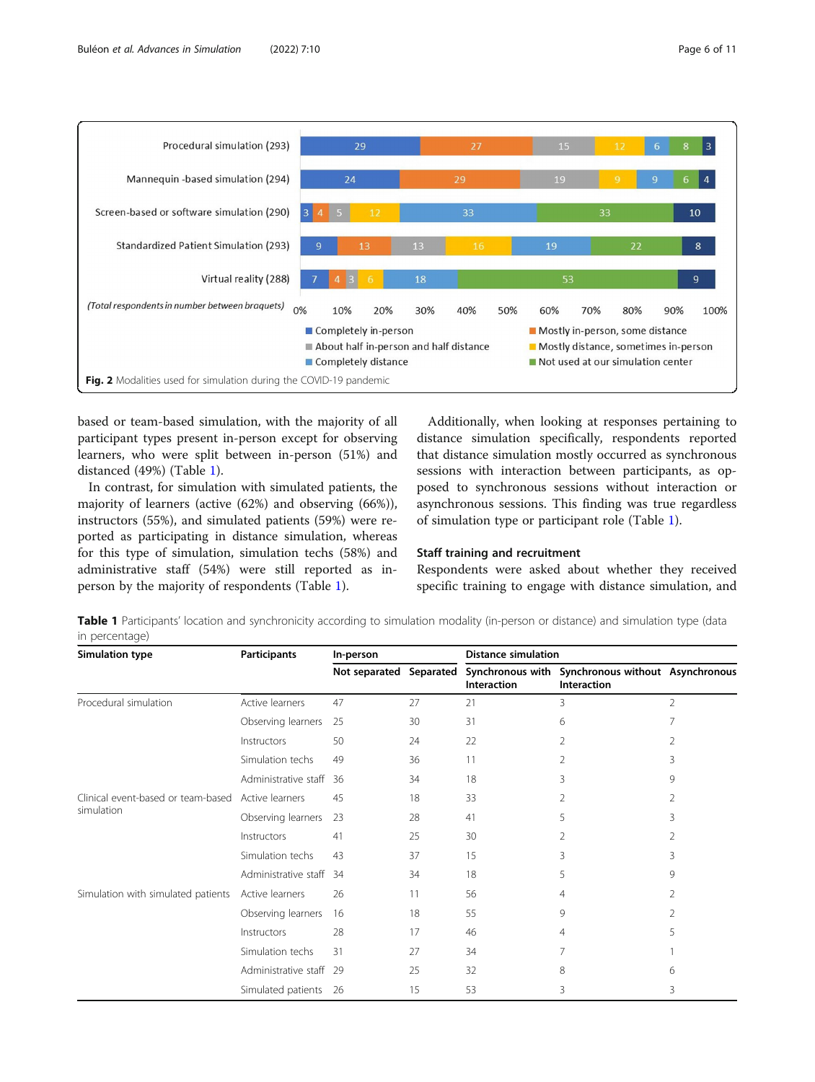<span id="page-5-0"></span>

based or team-based simulation, with the majority of all participant types present in-person except for observing learners, who were split between in-person (51%) and distanced (49%) (Table 1).

In contrast, for simulation with simulated patients, the majority of learners (active (62%) and observing (66%)), instructors (55%), and simulated patients (59%) were reported as participating in distance simulation, whereas for this type of simulation, simulation techs (58%) and administrative staff (54%) were still reported as inperson by the majority of respondents (Table 1).

Additionally, when looking at responses pertaining to distance simulation specifically, respondents reported that distance simulation mostly occurred as synchronous sessions with interaction between participants, as opposed to synchronous sessions without interaction or asynchronous sessions. This finding was true regardless of simulation type or participant role (Table 1).

# Staff training and recruitment

Respondents were asked about whether they received specific training to engage with distance simulation, and

Table 1 Participants' location and synchronicity according to simulation modality (in-person or distance) and simulation type (data in percentage)

| <b>Simulation type</b>                           | <b>Participants</b>  | In-person               |    | <b>Distance simulation</b> |                                                                  |                |
|--------------------------------------------------|----------------------|-------------------------|----|----------------------------|------------------------------------------------------------------|----------------|
|                                                  |                      | Not separated Separated |    | <b>Interaction</b>         | Synchronous with Synchronous without Asynchronous<br>Interaction |                |
| Procedural simulation                            | Active learners      | 47                      | 27 | 21                         | 3                                                                | $\overline{2}$ |
|                                                  | Observing learners   | 25                      | 30 | 31                         | 6                                                                | 7              |
|                                                  | Instructors          | 50                      | 24 | 22                         | 2                                                                | 2              |
|                                                  | Simulation techs     | 49                      | 36 | 11                         | 2                                                                | 3              |
|                                                  | Administrative staff | 36                      | 34 | 18                         | 3                                                                | 9              |
| Clinical event-based or team-based<br>simulation | Active learners      | 45                      | 18 | 33                         | 2                                                                | 2              |
|                                                  | Observing learners   | 23                      | 28 | 41                         | 5                                                                | 3              |
|                                                  | Instructors          | 41                      | 25 | 30                         | 2                                                                | 2              |
|                                                  | Simulation techs     | 43                      | 37 | 15                         | 3                                                                | 3              |
|                                                  | Administrative staff | 34                      | 34 | 18                         | 5                                                                | 9              |
| Simulation with simulated patients               | Active learners      | 26                      | 11 | 56                         | 4                                                                | 2              |
|                                                  | Observing learners   | 16                      | 18 | 55                         | 9                                                                | 2              |
|                                                  | Instructors          | 28                      | 17 | 46                         | 4                                                                | 5              |
|                                                  | Simulation techs     | 31                      | 27 | 34                         |                                                                  |                |
|                                                  | Administrative staff | - 29                    | 25 | 32                         | 8                                                                | 6              |
|                                                  | Simulated patients   | 26                      | 15 | 53                         | 3                                                                | 3              |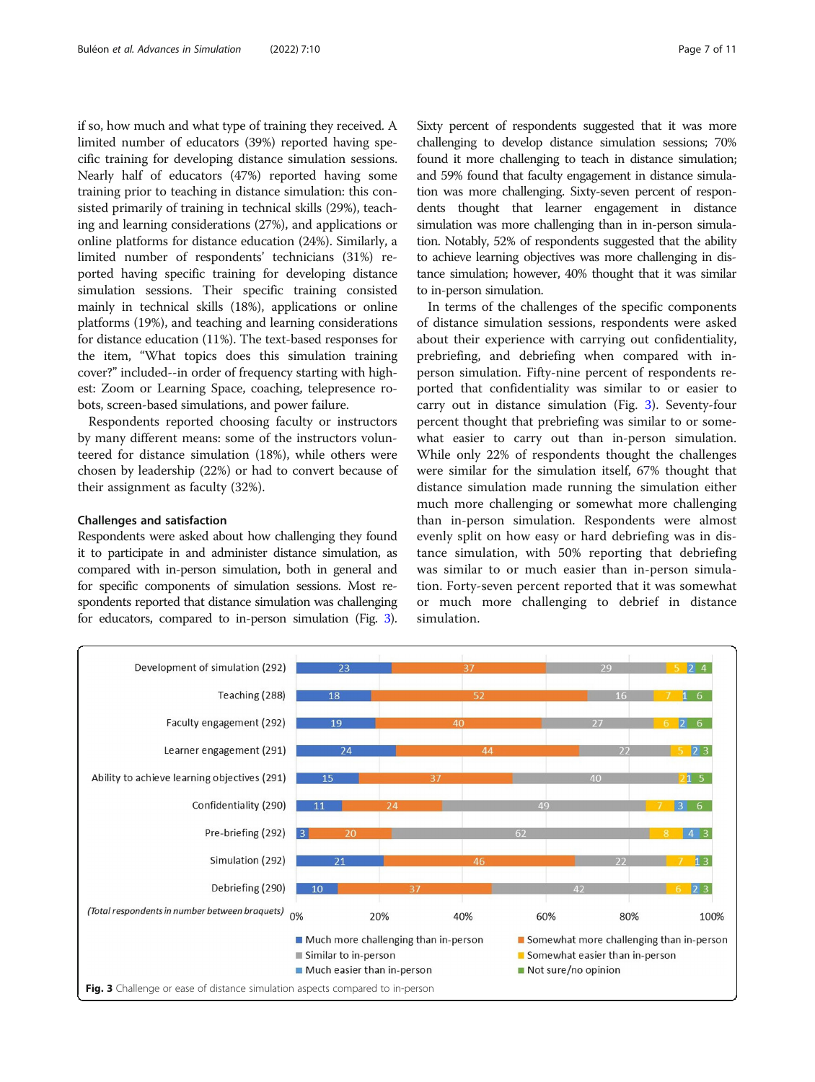if so, how much and what type of training they received. A limited number of educators (39%) reported having specific training for developing distance simulation sessions. Nearly half of educators (47%) reported having some training prior to teaching in distance simulation: this consisted primarily of training in technical skills (29%), teaching and learning considerations (27%), and applications or online platforms for distance education (24%). Similarly, a limited number of respondents' technicians (31%) reported having specific training for developing distance simulation sessions. Their specific training consisted mainly in technical skills (18%), applications or online platforms (19%), and teaching and learning considerations for distance education (11%). The text-based responses for the item, "What topics does this simulation training cover?" included--in order of frequency starting with highest: Zoom or Learning Space, coaching, telepresence robots, screen-based simulations, and power failure.

Respondents reported choosing faculty or instructors by many different means: some of the instructors volunteered for distance simulation (18%), while others were chosen by leadership (22%) or had to convert because of their assignment as faculty (32%).

#### Challenges and satisfaction

Respondents were asked about how challenging they found it to participate in and administer distance simulation, as compared with in-person simulation, both in general and for specific components of simulation sessions. Most respondents reported that distance simulation was challenging for educators, compared to in-person simulation (Fig. 3). Sixty percent of respondents suggested that it was more challenging to develop distance simulation sessions; 70% found it more challenging to teach in distance simulation; and 59% found that faculty engagement in distance simulation was more challenging. Sixty-seven percent of respondents thought that learner engagement in distance simulation was more challenging than in in-person simulation. Notably, 52% of respondents suggested that the ability to achieve learning objectives was more challenging in distance simulation; however, 40% thought that it was similar to in-person simulation.

In terms of the challenges of the specific components of distance simulation sessions, respondents were asked about their experience with carrying out confidentiality, prebriefing, and debriefing when compared with inperson simulation. Fifty-nine percent of respondents reported that confidentiality was similar to or easier to carry out in distance simulation (Fig. 3). Seventy-four percent thought that prebriefing was similar to or somewhat easier to carry out than in-person simulation. While only 22% of respondents thought the challenges were similar for the simulation itself, 67% thought that distance simulation made running the simulation either much more challenging or somewhat more challenging than in-person simulation. Respondents were almost evenly split on how easy or hard debriefing was in distance simulation, with 50% reporting that debriefing was similar to or much easier than in-person simulation. Forty-seven percent reported that it was somewhat or much more challenging to debrief in distance simulation.

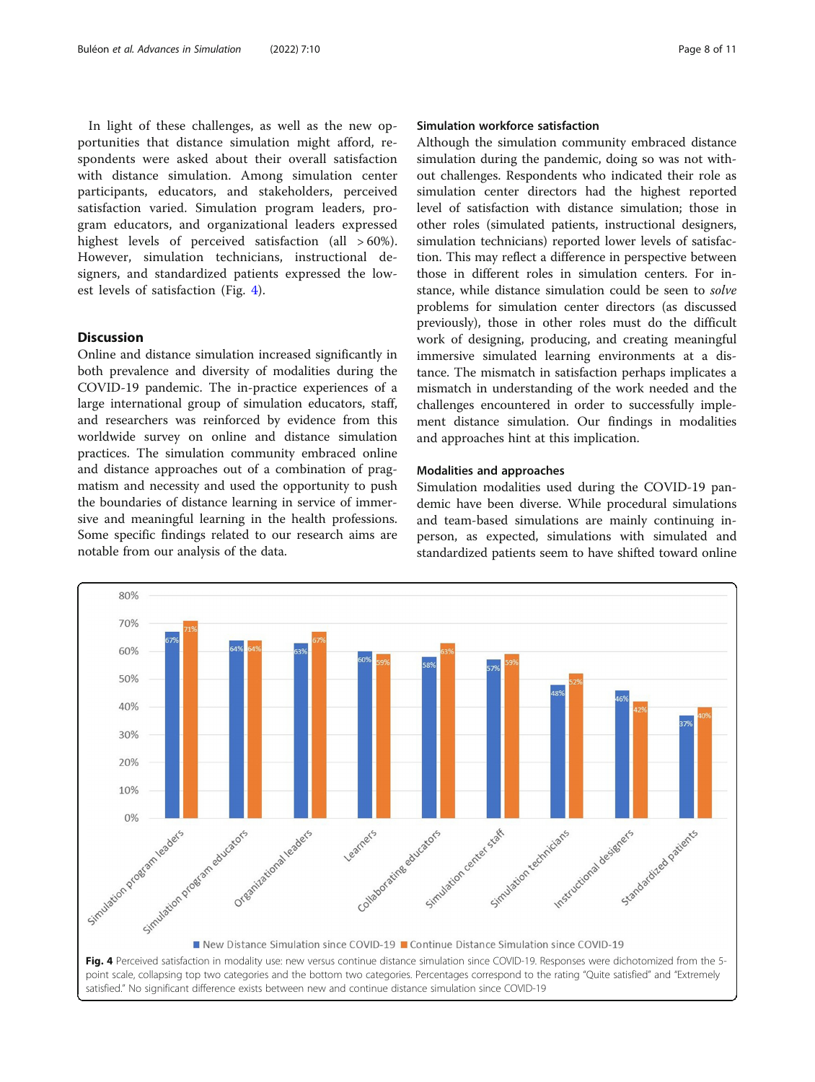In light of these challenges, as well as the new opportunities that distance simulation might afford, respondents were asked about their overall satisfaction with distance simulation. Among simulation center participants, educators, and stakeholders, perceived satisfaction varied. Simulation program leaders, program educators, and organizational leaders expressed highest levels of perceived satisfaction (all  $>60\%$ ). However, simulation technicians, instructional designers, and standardized patients expressed the lowest levels of satisfaction (Fig. 4).

# Discussion

Online and distance simulation increased significantly in both prevalence and diversity of modalities during the COVID-19 pandemic. The in-practice experiences of a large international group of simulation educators, staff, and researchers was reinforced by evidence from this worldwide survey on online and distance simulation practices. The simulation community embraced online and distance approaches out of a combination of pragmatism and necessity and used the opportunity to push the boundaries of distance learning in service of immersive and meaningful learning in the health professions. Some specific findings related to our research aims are notable from our analysis of the data.

# Simulation workforce satisfaction

Although the simulation community embraced distance simulation during the pandemic, doing so was not without challenges. Respondents who indicated their role as simulation center directors had the highest reported level of satisfaction with distance simulation; those in other roles (simulated patients, instructional designers, simulation technicians) reported lower levels of satisfaction. This may reflect a difference in perspective between those in different roles in simulation centers. For instance, while distance simulation could be seen to solve problems for simulation center directors (as discussed previously), those in other roles must do the difficult work of designing, producing, and creating meaningful immersive simulated learning environments at a distance. The mismatch in satisfaction perhaps implicates a mismatch in understanding of the work needed and the challenges encountered in order to successfully implement distance simulation. Our findings in modalities and approaches hint at this implication.

## Modalities and approaches

Simulation modalities used during the COVID-19 pandemic have been diverse. While procedural simulations and team-based simulations are mainly continuing inperson, as expected, simulations with simulated and standardized patients seem to have shifted toward online

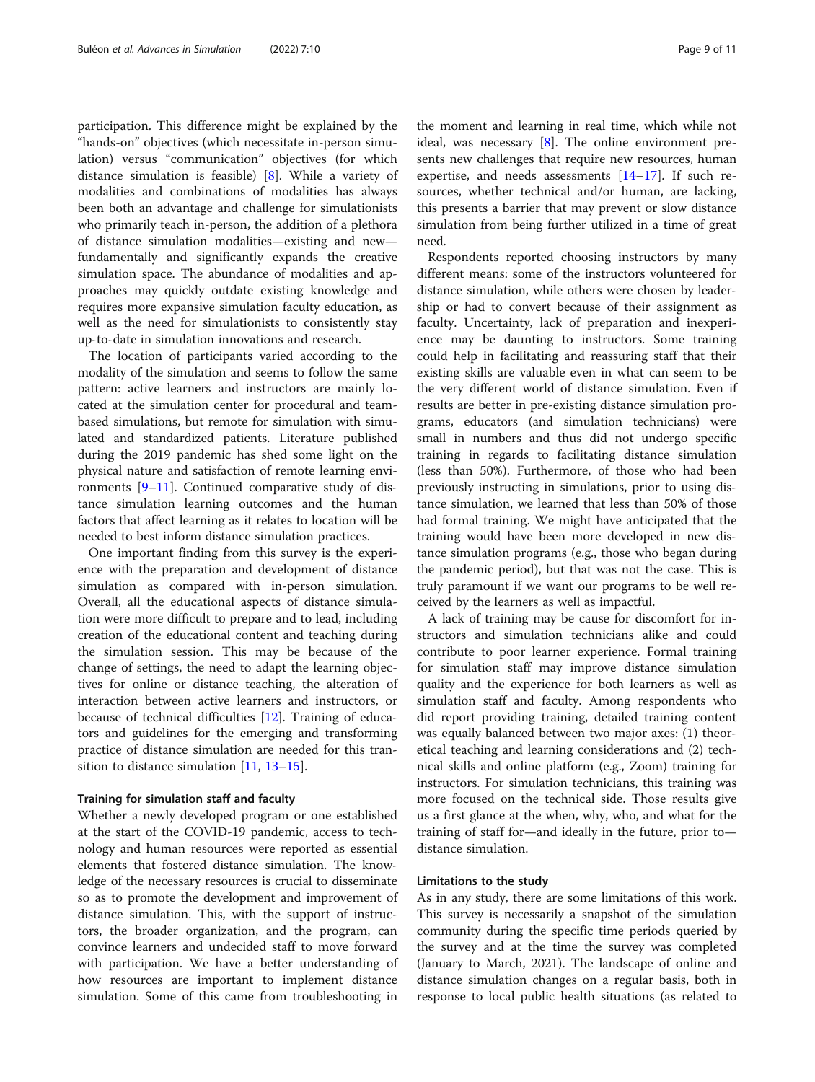participation. This difference might be explained by the "hands-on" objectives (which necessitate in-person simulation) versus "communication" objectives (for which distance simulation is feasible) [[8\]](#page-10-0). While a variety of modalities and combinations of modalities has always been both an advantage and challenge for simulationists who primarily teach in-person, the addition of a plethora of distance simulation modalities—existing and new fundamentally and significantly expands the creative simulation space. The abundance of modalities and approaches may quickly outdate existing knowledge and requires more expansive simulation faculty education, as well as the need for simulationists to consistently stay up-to-date in simulation innovations and research.

The location of participants varied according to the modality of the simulation and seems to follow the same pattern: active learners and instructors are mainly located at the simulation center for procedural and teambased simulations, but remote for simulation with simulated and standardized patients. Literature published during the 2019 pandemic has shed some light on the physical nature and satisfaction of remote learning environments  $[9-11]$  $[9-11]$  $[9-11]$  $[9-11]$  $[9-11]$ . Continued comparative study of distance simulation learning outcomes and the human factors that affect learning as it relates to location will be needed to best inform distance simulation practices.

One important finding from this survey is the experience with the preparation and development of distance simulation as compared with in-person simulation. Overall, all the educational aspects of distance simulation were more difficult to prepare and to lead, including creation of the educational content and teaching during the simulation session. This may be because of the change of settings, the need to adapt the learning objectives for online or distance teaching, the alteration of interaction between active learners and instructors, or because of technical difficulties [[12](#page-10-0)]. Training of educators and guidelines for the emerging and transforming practice of distance simulation are needed for this tran-sition to distance simulation [[11,](#page-10-0) [13](#page-10-0)–[15](#page-10-0)].

#### Training for simulation staff and faculty

Whether a newly developed program or one established at the start of the COVID-19 pandemic, access to technology and human resources were reported as essential elements that fostered distance simulation. The knowledge of the necessary resources is crucial to disseminate so as to promote the development and improvement of distance simulation. This, with the support of instructors, the broader organization, and the program, can convince learners and undecided staff to move forward with participation. We have a better understanding of how resources are important to implement distance simulation. Some of this came from troubleshooting in

the moment and learning in real time, which while not ideal, was necessary [[8\]](#page-10-0). The online environment presents new challenges that require new resources, human expertise, and needs assessments  $[14–17]$  $[14–17]$  $[14–17]$  $[14–17]$ . If such resources, whether technical and/or human, are lacking, this presents a barrier that may prevent or slow distance simulation from being further utilized in a time of great need.

Respondents reported choosing instructors by many different means: some of the instructors volunteered for distance simulation, while others were chosen by leadership or had to convert because of their assignment as faculty. Uncertainty, lack of preparation and inexperience may be daunting to instructors. Some training could help in facilitating and reassuring staff that their existing skills are valuable even in what can seem to be the very different world of distance simulation. Even if results are better in pre-existing distance simulation programs, educators (and simulation technicians) were small in numbers and thus did not undergo specific training in regards to facilitating distance simulation (less than 50%). Furthermore, of those who had been previously instructing in simulations, prior to using distance simulation, we learned that less than 50% of those had formal training. We might have anticipated that the training would have been more developed in new distance simulation programs (e.g., those who began during the pandemic period), but that was not the case. This is truly paramount if we want our programs to be well received by the learners as well as impactful.

A lack of training may be cause for discomfort for instructors and simulation technicians alike and could contribute to poor learner experience. Formal training for simulation staff may improve distance simulation quality and the experience for both learners as well as simulation staff and faculty. Among respondents who did report providing training, detailed training content was equally balanced between two major axes: (1) theoretical teaching and learning considerations and (2) technical skills and online platform (e.g., Zoom) training for instructors. For simulation technicians, this training was more focused on the technical side. Those results give us a first glance at the when, why, who, and what for the training of staff for—and ideally in the future, prior to distance simulation.

#### Limitations to the study

As in any study, there are some limitations of this work. This survey is necessarily a snapshot of the simulation community during the specific time periods queried by the survey and at the time the survey was completed (January to March, 2021). The landscape of online and distance simulation changes on a regular basis, both in response to local public health situations (as related to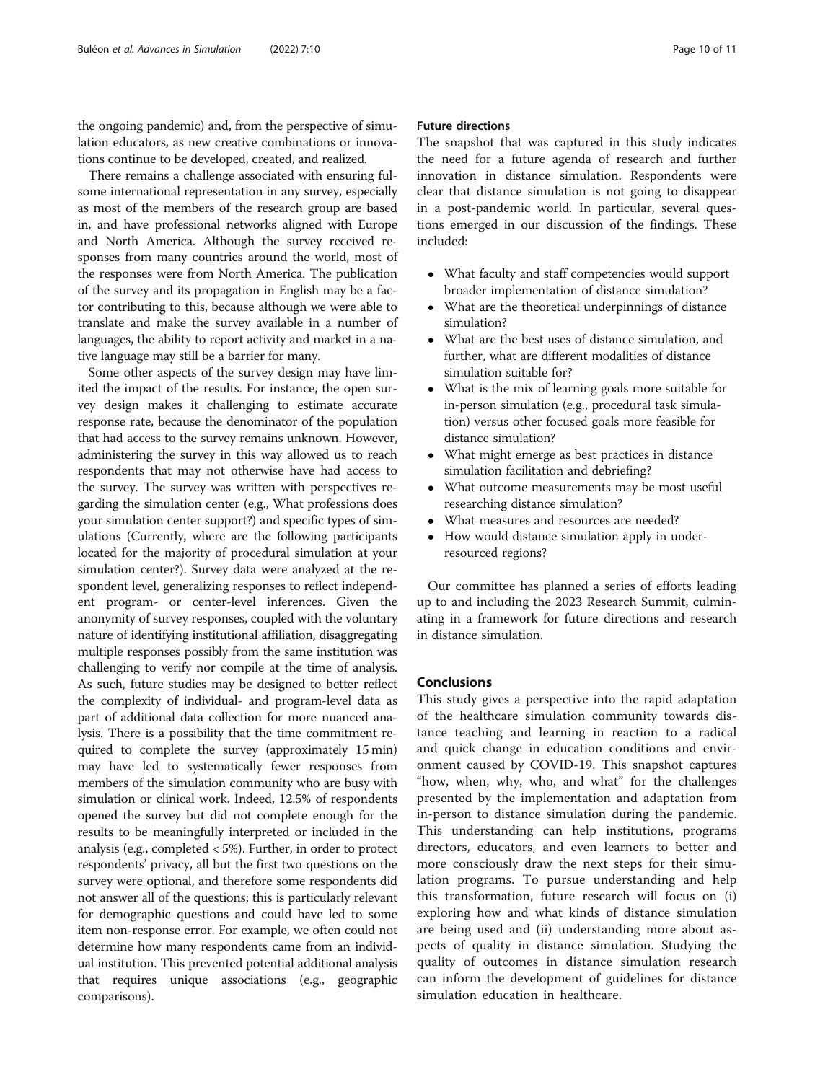the ongoing pandemic) and, from the perspective of simulation educators, as new creative combinations or innovations continue to be developed, created, and realized.

There remains a challenge associated with ensuring fulsome international representation in any survey, especially as most of the members of the research group are based in, and have professional networks aligned with Europe and North America. Although the survey received responses from many countries around the world, most of the responses were from North America. The publication of the survey and its propagation in English may be a factor contributing to this, because although we were able to translate and make the survey available in a number of languages, the ability to report activity and market in a native language may still be a barrier for many.

Some other aspects of the survey design may have limited the impact of the results. For instance, the open survey design makes it challenging to estimate accurate response rate, because the denominator of the population that had access to the survey remains unknown. However, administering the survey in this way allowed us to reach respondents that may not otherwise have had access to the survey. The survey was written with perspectives regarding the simulation center (e.g., What professions does your simulation center support?) and specific types of simulations (Currently, where are the following participants located for the majority of procedural simulation at your simulation center?). Survey data were analyzed at the respondent level, generalizing responses to reflect independent program- or center-level inferences. Given the anonymity of survey responses, coupled with the voluntary nature of identifying institutional affiliation, disaggregating multiple responses possibly from the same institution was challenging to verify nor compile at the time of analysis. As such, future studies may be designed to better reflect the complexity of individual- and program-level data as part of additional data collection for more nuanced analysis. There is a possibility that the time commitment required to complete the survey (approximately 15 min) may have led to systematically fewer responses from members of the simulation community who are busy with simulation or clinical work. Indeed, 12.5% of respondents opened the survey but did not complete enough for the results to be meaningfully interpreted or included in the analysis (e.g., completed < 5%). Further, in order to protect respondents' privacy, all but the first two questions on the survey were optional, and therefore some respondents did not answer all of the questions; this is particularly relevant for demographic questions and could have led to some item non-response error. For example, we often could not determine how many respondents came from an individual institution. This prevented potential additional analysis that requires unique associations (e.g., geographic comparisons).

# Future directions

The snapshot that was captured in this study indicates the need for a future agenda of research and further innovation in distance simulation. Respondents were clear that distance simulation is not going to disappear in a post-pandemic world. In particular, several questions emerged in our discussion of the findings. These included:

- What faculty and staff competencies would support broader implementation of distance simulation?
- What are the theoretical underpinnings of distance simulation?
- What are the best uses of distance simulation, and further, what are different modalities of distance simulation suitable for?
- What is the mix of learning goals more suitable for in-person simulation (e.g., procedural task simulation) versus other focused goals more feasible for distance simulation?
- What might emerge as best practices in distance simulation facilitation and debriefing?
- What outcome measurements may be most useful researching distance simulation?
- What measures and resources are needed?
- How would distance simulation apply in underresourced regions?

Our committee has planned a series of efforts leading up to and including the 2023 Research Summit, culminating in a framework for future directions and research in distance simulation.

# Conclusions

This study gives a perspective into the rapid adaptation of the healthcare simulation community towards distance teaching and learning in reaction to a radical and quick change in education conditions and environment caused by COVID-19. This snapshot captures "how, when, why, who, and what" for the challenges presented by the implementation and adaptation from in-person to distance simulation during the pandemic. This understanding can help institutions, programs directors, educators, and even learners to better and more consciously draw the next steps for their simulation programs. To pursue understanding and help this transformation, future research will focus on (i) exploring how and what kinds of distance simulation are being used and (ii) understanding more about aspects of quality in distance simulation. Studying the quality of outcomes in distance simulation research can inform the development of guidelines for distance simulation education in healthcare.